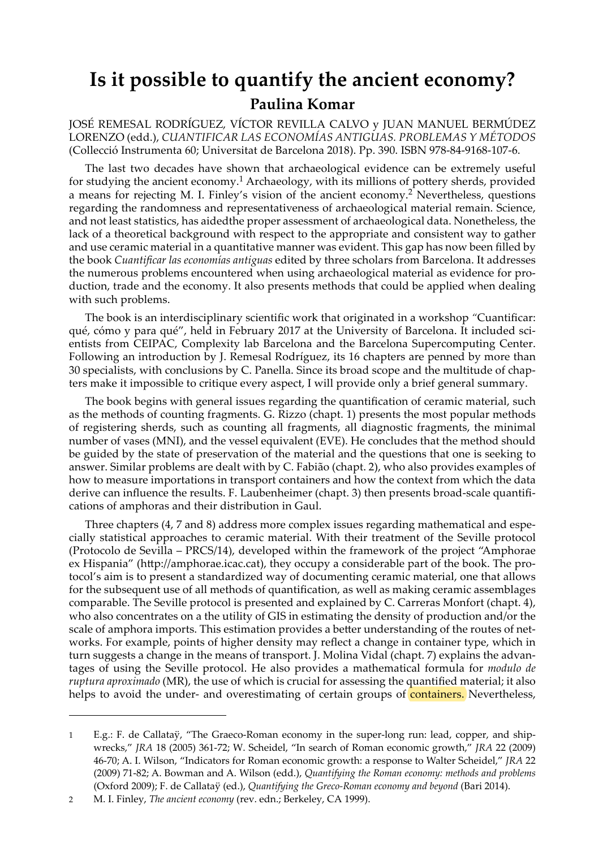## **Is it possible to quantify the ancient economy? Paulina Komar**

JOSÉ REMESAL RODRÍGUEZ, VÍCTOR REVILLA CALVO y JUAN MANUEL BERMÚDEZ LORENZO (edd.), *CUANTIFICAR LAS ECONOMÍAS ANTIGUAS. PROBLEMAS Y MÉTODOS* (Collecció Instrumenta 60; Universitat de Barcelona 2018). Pp. 390. ISBN 978-84-9168-107-6.

The last two decades have shown that archaeological evidence can be extremely useful for studying the ancient economy.<sup>1</sup> Archaeology, with its millions of pottery sherds, provided a means for rejecting M. I. Finley's vision of the ancient economy.2 Nevertheless, questions regarding the randomness and representativeness of archaeological material remain. Science, and not least statistics, has aidedthe proper assessment of archaeological data. Nonetheless, the lack of a theoretical background with respect to the appropriate and consistent way to gather and use ceramic material in a quantitative manner was evident. This gap has now been filled by the book *Cuantificar las economías antiguas* edited by three scholars from Barcelona. It addresses the numerous problems encountered when using archaeological material as evidence for production, trade and the economy. It also presents methods that could be applied when dealing with such problems.

The book is an interdisciplinary scientific work that originated in a workshop *"*Cuantificar: qué, cómo y para qué", held in February 2017 at the University of Barcelona. It included scientists from CEIPAC, Complexity lab Barcelona and the Barcelona Supercomputing Center. Following an introduction by J. Remesal Rodríguez, its 16 chapters are penned by more than 30 specialists, with conclusions by C. Panella. Since its broad scope and the multitude of chapters make it impossible to critique every aspect, I will provide only a brief general summary.

The book begins with general issues regarding the quantification of ceramic material, such as the methods of counting fragments. G. Rizzo (chapt. 1) presents the most popular methods of registering sherds, such as counting all fragments, all diagnostic fragments, the minimal number of vases (MNI), and the vessel equivalent (EVE). He concludes that the method should be guided by the state of preservation of the material and the questions that one is seeking to answer. Similar problems are dealt with by C. Fabião (chapt. 2), who also provides examples of how to measure importations in transport containers and how the context from which the data derive can influence the results. F. Laubenheimer (chapt. 3) then presents broad-scale quantifications of amphoras and their distribution in Gaul.

Three chapters (4, 7 and 8) address more complex issues regarding mathematical and especially statistical approaches to ceramic material. With their treatment of the Seville protocol (Protocolo de Sevilla – PRCS/14), developed within the framework of the project "Amphorae ex Hispania" (http://amphorae.icac.cat), they occupy a considerable part of the book. The protocol's aim is to present a standardized way of documenting ceramic material, one that allows for the subsequent use of all methods of quantification, as well as making ceramic assemblages comparable. The Seville protocol is presented and explained by C. Carreras Monfort (chapt. 4), who also concentrates on a the utility of GIS in estimating the density of production and/or the scale of amphora imports. This estimation provides a better understanding of the routes of networks. For example, points of higher density may reflect a change in container type, which in turn suggests a change in the means of transport. J. Molina Vidal (chapt. 7) explains the advantages of using the Seville protocol. He also provides a mathematical formula for *modulo de ruptura aproximado* (MR), the use of which is crucial for assessing the quantified material; it also helps to avoid the under- and overestimating of certain groups of **containers**. Nevertheless,

<sup>1</sup> E.g.: F. de Callataÿ, "The Graeco-Roman economy in the super-long run: lead, copper, and shipwrecks," *JRA* 18 (2005) 361-72; W. Scheidel, "In search of Roman economic growth," *JRA* 22 (2009) 46-70; A. I. Wilson, "Indicators for Roman economic growth: a response to Walter Scheidel," *JRA* 22 (2009) 71-82; A. Bowman and A. Wilson (edd.), *Quantifying the Roman economy: methods and problems*  (Oxford 2009); F. de Callataÿ (ed.), *Quantifying the Greco-Roman economy and beyond* (Bari 2014).

<sup>2</sup> M. I. Finley, *The ancient economy* (rev. edn.; Berkeley, CA 1999).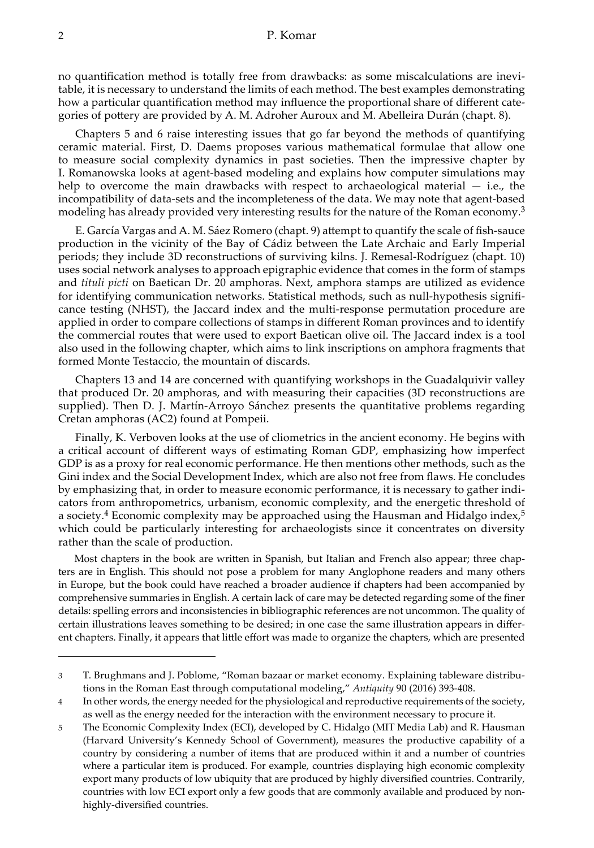no quantification method is totally free from drawbacks: as some miscalculations are inevitable, it is necessary to understand the limits of each method. The best examples demonstrating how a particular quantification method may influence the proportional share of different categories of pottery are provided by A. M. Adroher Auroux and M. Abelleira Durán (chapt. 8).

Chapters 5 and 6 raise interesting issues that go far beyond the methods of quantifying ceramic material. First, D. Daems proposes various mathematical formulae that allow one to measure social complexity dynamics in past societies. Then the impressive chapter by I. Romanowska looks at agent-based modeling and explains how computer simulations may help to overcome the main drawbacks with respect to archaeological material  $-$  i.e., the incompatibility of data-sets and the incompleteness of the data. We may note that agent-based modeling has already provided very interesting results for the nature of the Roman economy.<sup>3</sup>

E. García Vargas and A. M. Sáez Romero (chapt. 9) attempt to quantify the scale of fish-sauce production in the vicinity of the Bay of Cádiz between the Late Archaic and Early Imperial periods; they include 3D reconstructions of surviving kilns. J. Remesal-Rodríguez (chapt. 10) uses social network analyses to approach epigraphic evidence that comes in the form of stamps and *tituli picti* on Baetican Dr. 20 amphoras. Next, amphora stamps are utilized as evidence for identifying communication networks. Statistical methods, such as null-hypothesis significance testing (NHST), the Jaccard index and the multi-response permutation procedure are applied in order to compare collections of stamps in different Roman provinces and to identify the commercial routes that were used to export Baetican olive oil. The Jaccard index is a tool also used in the following chapter, which aims to link inscriptions on amphora fragments that formed Monte Testaccio, the mountain of discards.

Chapters 13 and 14 are concerned with quantifying workshops in the Guadalquivir valley that produced Dr. 20 amphoras, and with measuring their capacities (3D reconstructions are supplied). Then D. J. Martín-Arroyo Sánchez presents the quantitative problems regarding Cretan amphoras (AC2) found at Pompeii.

Finally, K. Verboven looks at the use of cliometrics in the ancient economy. He begins with a critical account of different ways of estimating Roman GDP, emphasizing how imperfect GDP is as a proxy for real economic performance. He then mentions other methods, such as the Gini index and the Social Development Index, which are also not free from flaws. He concludes by emphasizing that, in order to measure economic performance, it is necessary to gather indicators from anthropometrics, urbanism, economic complexity, and the energetic threshold of a society.<sup>4</sup> Economic complexity may be approached using the Hausman and Hidalgo index,<sup>5</sup> which could be particularly interesting for archaeologists since it concentrates on diversity rather than the scale of production.

Most chapters in the book are written in Spanish, but Italian and French also appear; three chapters are in English. This should not pose a problem for many Anglophone readers and many others in Europe, but the book could have reached a broader audience if chapters had been accompanied by comprehensive summaries in English. A certain lack of care may be detected regarding some of the finer details: spelling errors and inconsistencies in bibliographic references are not uncommon. The quality of certain illustrations leaves something to be desired; in one case the same illustration appears in different chapters. Finally, it appears that little effort was made to organize the chapters, which are presented

<sup>3</sup> T. Brughmans and J. Poblome, "Roman bazaar or market economy. Explaining tableware distributions in the Roman East through computational modeling," *Antiquity* 90 (2016) 393-408.

<sup>4</sup> In other words, the energy needed for the physiological and reproductive requirements of the society, as well as the energy needed for the interaction with the environment necessary to procure it.

<sup>5</sup> The Economic Complexity Index (ECI), developed by C. Hidalgo (MIT Media Lab) and R. Hausman (Harvard University's Kennedy School of Government), measures the productive capability of a country by considering a number of items that are produced within it and a number of countries where a particular item is produced. For example, countries displaying high economic complexity export many products of low ubiquity that are produced by highly diversified countries. Contrarily, countries with low ECI export only a few goods that are commonly available and produced by nonhighly-diversified countries.